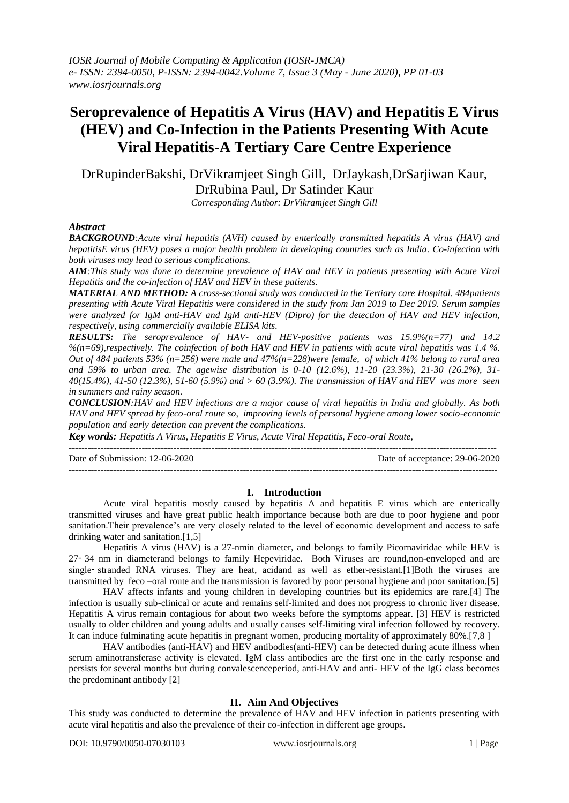## **Seroprevalence of Hepatitis A Virus (HAV) and Hepatitis E Virus (HEV) and Co-Infection in the Patients Presenting With Acute Viral Hepatitis-A Tertiary Care Centre Experience**

DrRupinderBakshi, DrVikramjeet Singh Gill, DrJaykash,DrSarjiwan Kaur, DrRubina Paul, Dr Satinder Kaur

*Corresponding Author: DrVikramjeet Singh Gill*

#### *Abstract*

*BACKGROUND:Acute viral hepatitis (AVH) caused by enterically transmitted hepatitis A virus (HAV) and hepatitisE virus (HEV) poses a major health problem in developing countries such as India. Co-infection with both viruses may lead to serious complications.*

*AIM:This study was done to determine prevalence of HAV and HEV in patients presenting with Acute Viral Hepatitis and the co-infection of HAV and HEV in these patients.*

*MATERIAL AND METHOD: A cross-sectional study was conducted in the Tertiary care Hospital. 484patients presenting with Acute Viral Hepatitis were considered in the study from Jan 2019 to Dec 2019. Serum samples were analyzed for IgM anti-HAV and IgM anti-HEV (Dipro) for the detection of HAV and HEV infection, respectively, using commercially available ELISA kits.*

*RESULTS: The seroprevalence of HAV- and HEV-positive patients was 15.9%(n=77) and 14.2 %(n=69),respectively. The coinfection of both HAV and HEV in patients with acute viral hepatitis was 1.4 %. Out of 484 patients 53% (n=256) were male and 47%(n=228)were female, of which 41% belong to rural area and 59% to urban area. The agewise distribution is 0-10 (12.6%), 11-20 (23.3%), 21-30 (26.2%), 31- 40(15.4%), 41-50 (12.3%), 51-60 (5.9%) and > 60 (3.9%). The transmission of HAV and HEV was more seen in summers and rainy season.*

*CONCLUSION:HAV and HEV infections are a major cause of viral hepatitis in India and globally. As both HAV and HEV spread by feco-oral route so, improving levels of personal hygiene among lower socio-economic population and early detection can prevent the complications.*

*Key words: Hepatitis A Virus, Hepatitis E Virus, Acute Viral Hepatitis, Feco-oral Route,*

---------------------------------------------------------------------------------------------------------------------------------------

Date of Submission: 12-06-2020 Date of acceptance: 29-06-2020

# $-1-\frac{1}{2}$

**I. Introduction** Acute viral hepatitis mostly caused by hepatitis A and hepatitis E virus which are enterically transmitted viruses and have great public health importance because both are due to poor hygiene and poor sanitation.Their prevalence's are very closely related to the level of economic development and access to safe drinking water and sanitation.[1,5]

Hepatitis A virus (HAV) is a 27-nmin diameter, and belongs to family Picornaviridae while HEV is 27‑ 34 nm in diameterand belongs to family Hepeviridae. Both Viruses are round,non-enveloped and are single– stranded RNA viruses. They are heat, acidand as well as ether-resistant. [1] Both the viruses are transmitted by feco –oral route and the transmission is favored by poor personal hygiene and poor sanitation.[5]

HAV affects infants and young children in developing countries but its epidemics are rare.[4] The infection is usually sub-clinical or acute and remains self-limited and does not progress to chronic liver disease. Hepatitis A virus remain contagious for about two weeks before the symptoms appear. [3] HEV is restricted usually to older children and young adults and usually causes self-limiting viral infection followed by recovery. It can induce fulminating acute hepatitis in pregnant women, producing mortality of approximately 80%.[7,8 ]

HAV antibodies (anti-HAV) and HEV antibodies(anti-HEV) can be detected during acute illness when serum aminotransferase activity is elevated. IgM class antibodies are the first one in the early response and persists for several months but during convalescenceperiod, anti-HAV and anti- HEV of the IgG class becomes the predominant antibody [2]

#### **II. Aim And Objectives**

This study was conducted to determine the prevalence of HAV and HEV infection in patients presenting with acute viral hepatitis and also the prevalence of their co-infection in different age groups.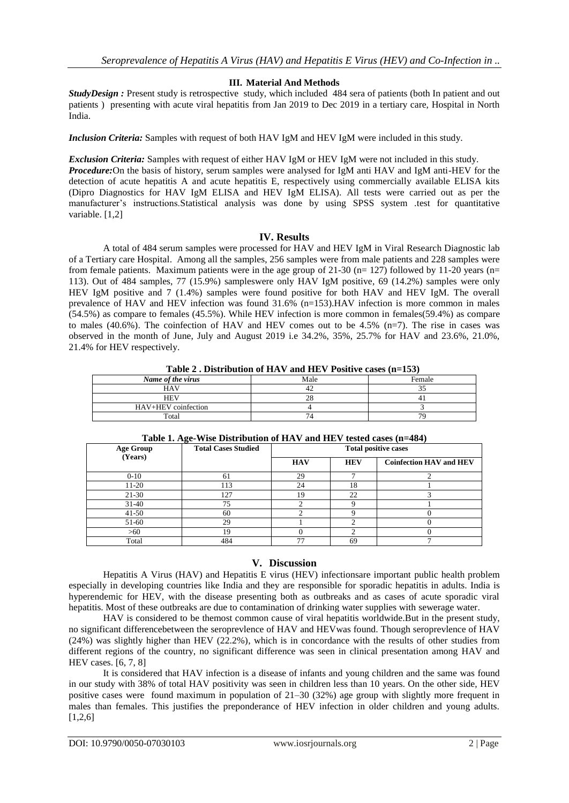#### **III. Material And Methods**

*StudyDesign :* Present study is retrospective study, which included 484 sera of patients (both In patient and out patients ) presenting with acute viral hepatitis from Jan 2019 to Dec 2019 in a tertiary care, Hospital in North India.

*Inclusion Criteria:* Samples with request of both HAV IgM and HEV IgM were included in this study.

*Exclusion Criteria:* Samples with request of either HAV IgM or HEV IgM were not included in this study.

*Procedure:*On the basis of history, serum samples were analysed for IgM anti HAV and IgM anti-HEV for the detection of acute hepatitis A and acute hepatitis E, respectively using commercially available ELISA kits (Dipro Diagnostics for HAV IgM ELISA and HEV IgM ELISA). All tests were carried out as per the manufacturer's instructions.Statistical analysis was done by using SPSS system .test for quantitative variable. [1,2]

#### **IV. Results**

A total of 484 serum samples were processed for HAV and HEV IgM in Viral Research Diagnostic lab of a Tertiary care Hospital. Among all the samples, 256 samples were from male patients and 228 samples were from female patients. Maximum patients were in the age group of 21-30 ( $n= 127$ ) followed by 11-20 years ( $n=$ 113). Out of 484 samples, 77 (15.9%) sampleswere only HAV IgM positive, 69 (14.2%) samples were only HEV IgM positive and 7 (1.4%) samples were found positive for both HAV and HEV IgM. The overall prevalence of HAV and HEV infection was found 31.6% (n=153).HAV infection is more common in males (54.5%) as compare to females (45.5%). While HEV infection is more common in females(59.4%) as compare to males (40.6%). The coinfection of HAV and HEV comes out to be 4.5% (n=7). The rise in cases was observed in the month of June, July and August 2019 i.e 34.2%, 35%, 25.7% for HAV and 23.6%, 21.0%, 21.4% for HEV respectively.

**Table 2 . Distribution of HAV and HEV Positive cases (n=153)**

| Name of the virus   | Male | Female         |
|---------------------|------|----------------|
| <b>HAV</b>          | 42   | ັ              |
| <b>HEV</b>          | 28   |                |
| HAV+HEV coinfection |      |                |
| Total               |      | 7 <sup>c</sup> |

| <b>Age Group</b> | <b>Total Cases Studied</b> | <b>Total positive cases</b> |            |                                |
|------------------|----------------------------|-----------------------------|------------|--------------------------------|
| (Years)          |                            | <b>HAV</b>                  | <b>HEV</b> | <b>Coinfection HAV and HEV</b> |
| $0-10$           | 61                         | 29                          |            |                                |
| $11-20$          | 113                        | 24                          | 18         |                                |
| $21-30$          | 127                        | 19                          | 22         |                                |
| $31-40$          | 75                         |                             |            |                                |
| $41 - 50$        | 60                         |                             |            |                                |
| 51-60            | 29                         |                             |            |                                |
| >60              | 19                         |                             |            |                                |
| Total            | 484                        | 77                          | 69         |                                |

#### **Table 1. Age-Wise Distribution of HAV and HEV tested cases (n=484)**

### **V. Discussion**

Hepatitis A Virus (HAV) and Hepatitis E virus (HEV) infectionsare important public health problem especially in developing countries like India and they are responsible for sporadic hepatitis in adults. India is hyperendemic for HEV, with the disease presenting both as outbreaks and as cases of acute sporadic viral hepatitis. Most of these outbreaks are due to contamination of drinking water supplies with sewerage water.

HAV is considered to be themost common cause of viral hepatitis worldwide.But in the present study, no significant differencebetween the seroprevlence of HAV and HEVwas found. Though seroprevlence of HAV (24%) was slightly higher than HEV (22.2%), which is in concordance with the results of other studies from different regions of the country, no significant difference was seen in clinical presentation among HAV and HEV cases. [6, 7, 8]

It is considered that HAV infection is a disease of infants and young children and the same was found in our study with 38% of total HAV positivity was seen in children less than 10 years. On the other side, HEV positive cases were found maximum in population of 21–30 (32%) age group with slightly more frequent in males than females. This justifies the preponderance of HEV infection in older children and young adults.  $[1,2,6]$